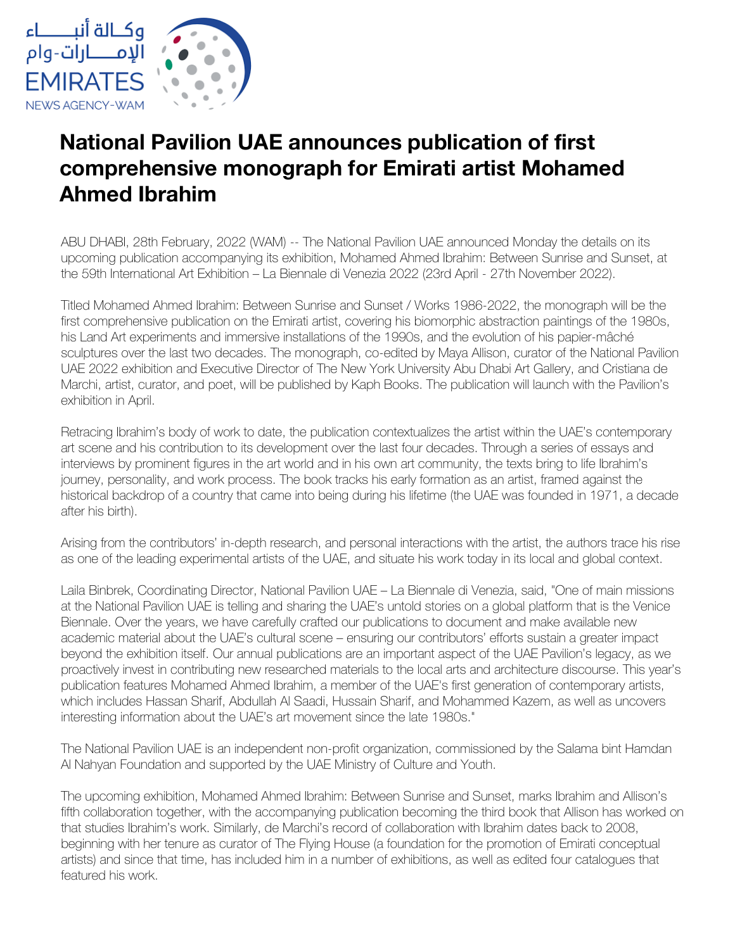

## **National Pavilion UAE announces publication of first comprehensive monograph for Emirati artist Mohamed Ahmed Ibrahim**

ABU DHABI, 28th February, 2022 (WAM) -- The National Pavilion UAE announced Monday the details on its upcoming publication accompanying its exhibition, Mohamed Ahmed Ibrahim: Between Sunrise and Sunset, at the 59th International Art Exhibition – La Biennale di Venezia 2022 (23rd April - 27th November 2022).

Titled Mohamed Ahmed Ibrahim: Between Sunrise and Sunset / Works 1986-2022, the monograph will be the first comprehensive publication on the Emirati artist, covering his biomorphic abstraction paintings of the 1980s, his Land Art experiments and immersive installations of the 1990s, and the evolution of his papier-mâché sculptures over the last two decades. The monograph, co-edited by Maya Allison, curator of the National Pavilion UAE 2022 exhibition and Executive Director of The New York University Abu Dhabi Art Gallery, and Cristiana de Marchi, artist, curator, and poet, will be published by Kaph Books. The publication will launch with the Pavilion's exhibition in April.

Retracing Ibrahim's body of work to date, the publication contextualizes the artist within the UAE's contemporary art scene and his contribution to its development over the last four decades. Through a series of essays and interviews by prominent figures in the art world and in his own art community, the texts bring to life Ibrahim's journey, personality, and work process. The book tracks his early formation as an artist, framed against the historical backdrop of a country that came into being during his lifetime (the UAE was founded in 1971, a decade after his birth).

Arising from the contributors' in-depth research, and personal interactions with the artist, the authors trace his rise as one of the leading experimental artists of the UAE, and situate his work today in its local and global context.

Laila Binbrek, Coordinating Director, National Pavilion UAE – La Biennale di Venezia, said, "One of main missions at the National Pavilion UAE is telling and sharing the UAE's untold stories on a global platform that is the Venice Biennale. Over the years, we have carefully crafted our publications to document and make available new academic material about the UAE's cultural scene – ensuring our contributors' efforts sustain a greater impact beyond the exhibition itself. Our annual publications are an important aspect of the UAE Pavilion's legacy, as we proactively invest in contributing new researched materials to the local arts and architecture discourse. This year's publication features Mohamed Ahmed Ibrahim, a member of the UAE's first generation of contemporary artists, which includes Hassan Sharif, Abdullah Al Saadi, Hussain Sharif, and Mohammed Kazem, as well as uncovers interesting information about the UAE's art movement since the late 1980s."

The National Pavilion UAE is an independent non-profit organization, commissioned by the Salama bint Hamdan Al Nahyan Foundation and supported by the UAE Ministry of Culture and Youth.

The upcoming exhibition, Mohamed Ahmed Ibrahim: Between Sunrise and Sunset, marks Ibrahim and Allison's fifth collaboration together, with the accompanying publication becoming the third book that Allison has worked on that studies Ibrahim's work. Similarly, de Marchi's record of collaboration with Ibrahim dates back to 2008, beginning with her tenure as curator of The Flying House (a foundation for the promotion of Emirati conceptual artists) and since that time, has included him in a number of exhibitions, as well as edited four catalogues that featured his work.